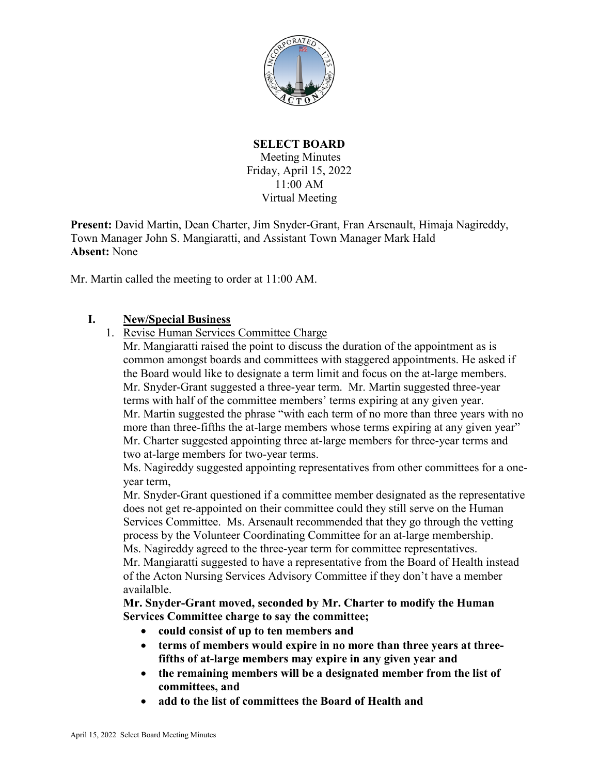

# **SELECT BOARD** Meeting Minutes Friday, April 15, 2022 11:00 AM Virtual Meeting

**Present:** David Martin, Dean Charter, Jim Snyder-Grant, Fran Arsenault, Himaja Nagireddy, Town Manager John S. Mangiaratti, and Assistant Town Manager Mark Hald **Absent:** None

Mr. Martin called the meeting to order at 11:00 AM.

# **I. New/Special Business**

1. Revise Human Services Committee Charge

Mr. Mangiaratti raised the point to discuss the duration of the appointment as is common amongst boards and committees with staggered appointments. He asked if the Board would like to designate a term limit and focus on the at-large members. Mr. Snyder-Grant suggested a three-year term. Mr. Martin suggested three-year terms with half of the committee members' terms expiring at any given year. Mr. Martin suggested the phrase "with each term of no more than three years with no more than three-fifths the at-large members whose terms expiring at any given year" Mr. Charter suggested appointing three at-large members for three-year terms and two at-large members for two-year terms.

Ms. Nagireddy suggested appointing representatives from other committees for a oneyear term,

Mr. Snyder-Grant questioned if a committee member designated as the representative does not get re-appointed on their committee could they still serve on the Human Services Committee. Ms. Arsenault recommended that they go through the vetting process by the Volunteer Coordinating Committee for an at-large membership. Ms. Nagireddy agreed to the three-year term for committee representatives.

Mr. Mangiaratti suggested to have a representative from the Board of Health instead of the Acton Nursing Services Advisory Committee if they don't have a member availalble.

**Mr. Snyder-Grant moved, seconded by Mr. Charter to modify the Human Services Committee charge to say the committee;**

- **could consist of up to ten members and**
- **terms of members would expire in no more than three years at threefifths of at-large members may expire in any given year and**
- **the remaining members will be a designated member from the list of committees, and**
- **add to the list of committees the Board of Health and**